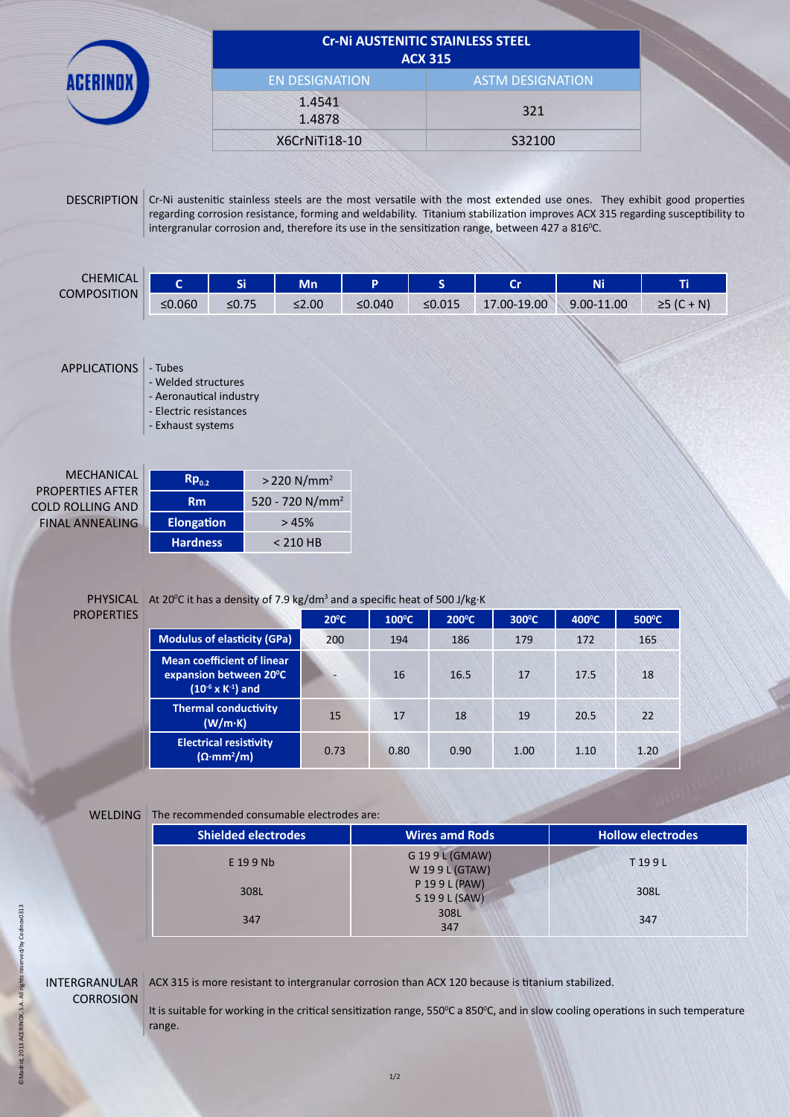|                       | <b>Cr-Ni AUSTENITIC STAINLESS STEEL</b><br><b>ACX 315</b> |
|-----------------------|-----------------------------------------------------------|
| <b>EN DESIGNATION</b> | <b>ASTM DESIGNATION</b>                                   |
| 1.4541<br>1.4878      | 321                                                       |
| X6CrNiTi18-10         | S32100                                                    |

DESCRIPTION Cr-Ni austenitic stainless steels are the most versatile with the most extended use ones. They exhibit good properties regarding corrosion resistance, forming and weldability. Titanium stabilization improves ACX 315 regarding susceptibility to intergranular corrosion and, therefore its use in the sensitization range, between 427 a 816°C.

| CHEMICAL<br><b>COMPOSITION</b> |        | c:<br>- 1 | Mn      |        |        | --          | Ni         |                             |
|--------------------------------|--------|-----------|---------|--------|--------|-------------|------------|-----------------------------|
|                                | ≤0.060 | ≤0.75     | $≤2.00$ | ≤0.040 | ≤0.015 | 17.00-19.00 | 9.00-11.00 | + N)<br>$\sqrt{ }$<br>25 IU |

### APPLICATIONS - Tubes

- Welded structures
- Aeronautical industry - Electric resistances
- Exhaust systems
- **MECHANIC** PROPERTIES AFT **COLD ROLLING AI FINAL ANNEALII**

| :AL      | $Rp_{0.2}$        | $> 220$ N/mm <sup>2</sup>   |
|----------|-------------------|-----------------------------|
| ΈR<br>ND | <b>Rm</b>         | 520 - 720 N/mm <sup>2</sup> |
| NG       | <b>Elongation</b> | >45%                        |
|          | <b>Hardness</b>   | $< 210$ HB                  |

#### PHYSICAL PROPERTIES

|  | At 20 <sup>o</sup> C it has a density of 7.9 kg/dm <sup>3</sup> and a specific heat of 500 J/kg·K |
|--|---------------------------------------------------------------------------------------------------|
|--|---------------------------------------------------------------------------------------------------|

|                                                                                              | $20^{\circ}$ C           | $100^{\circ}$ C | $200^{\circ}$ C | $300^{\circ}$ C | $400^{\circ}$ C | $500^{\circ}$ C |
|----------------------------------------------------------------------------------------------|--------------------------|-----------------|-----------------|-----------------|-----------------|-----------------|
| <b>Modulus of elasticity (GPa)</b>                                                           | 200                      | 194             | 186             | 179             | 172             | 165             |
| <b>Mean coefficient of linear</b><br>expansion between 20°C<br>$(10^{-6} \times K^{-1})$ and | $\overline{\phantom{0}}$ | 16              | 16.5            | 17              | 17.5            | 18              |
| <b>Thermal conductivity</b><br>(W/m·K)                                                       | 15                       | 17              | 18              | 19              | 20.5            | 22              |
| <b>Electrical resistivity</b><br>$(\Omega \cdot mm^2/m)$                                     | 0.73                     | 0.80            | 0.90            | 1.00            | 1.10            | 1.20            |

### WELDING The recommended consumable electrodes are:

| <b>Shielded electrodes</b> | <b>Wires amd Rods</b>           | <b>Hollow electrodes</b> |
|----------------------------|---------------------------------|--------------------------|
| E 19 9 Nb                  | G 199L (GMAW)<br>W 199 L (GTAW) | T199L                    |
| 308L                       | P 199L (PAW)<br>S 19 9 L (SAW)  | 308L                     |
| 347                        | 308L<br>347                     | 347                      |

# **CORROSION**

INTERGRANULAR ACX 315 is more resistant to intergranular corrosion than ACX 120 because is titanium stabilized.

It is suitable for working in the critical sensitization range, 550 $^{\circ}$ C a 850 $^{\circ}$ C, and in slow cooling operations in such temperature range.